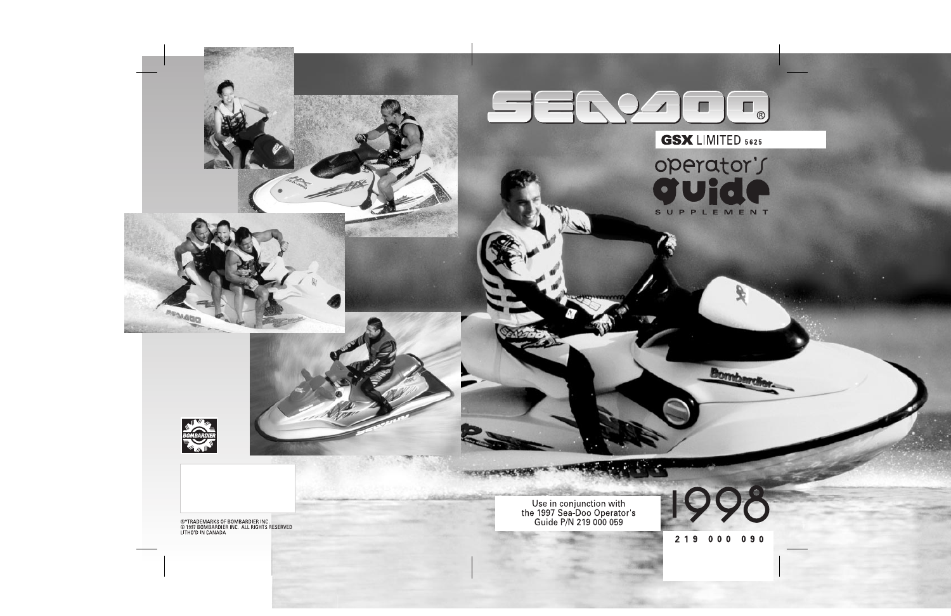### $\blacksquare$ **TERR**  $(R)$

 $\overline{\mathbf{s}}$ 

# **GSX LIMITED 5625**

operator's

 $\mathbf{r}$ 

UPPLEMENT

Use in conjunction with<br>the 1997 Sea-Doo Operator's<br>Guide P/N 219 000 059

#### $219$  $000$  $090$

Bom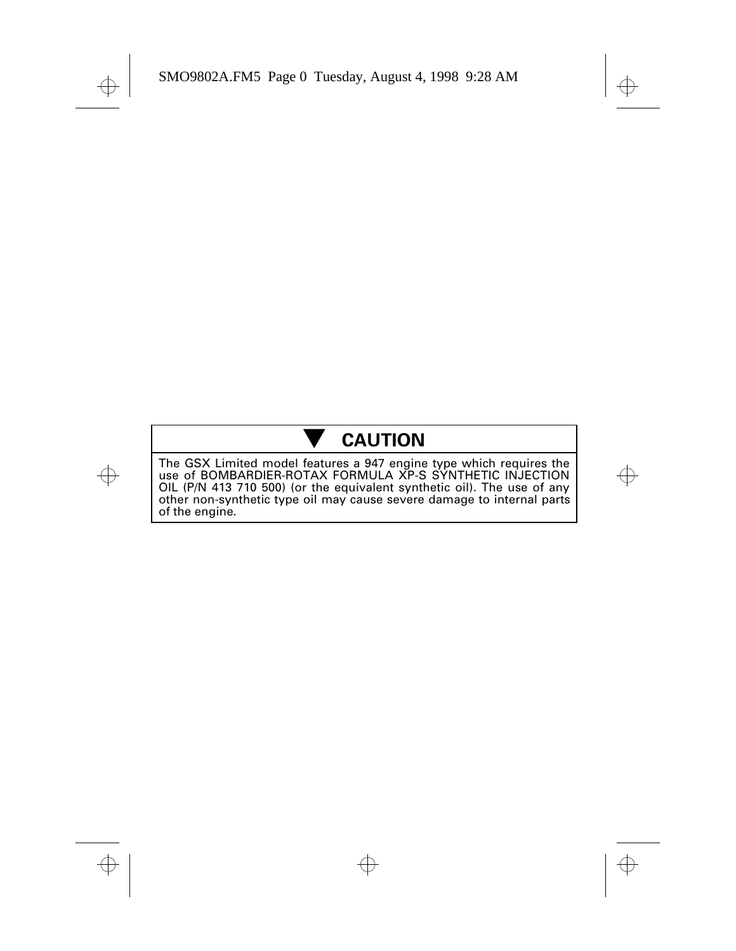# - **CAUTION**

The GSX Limited model features a 947 engine type which requires the use of BOMBARDIER-ROTAX FORMULA XP-S SYNTHETIC INJECTION OIL (P/N 413 710 500) (or the equivalent synthetic oil). The use of any other non-synthetic type oil may cause severe damage to internal parts of the engine.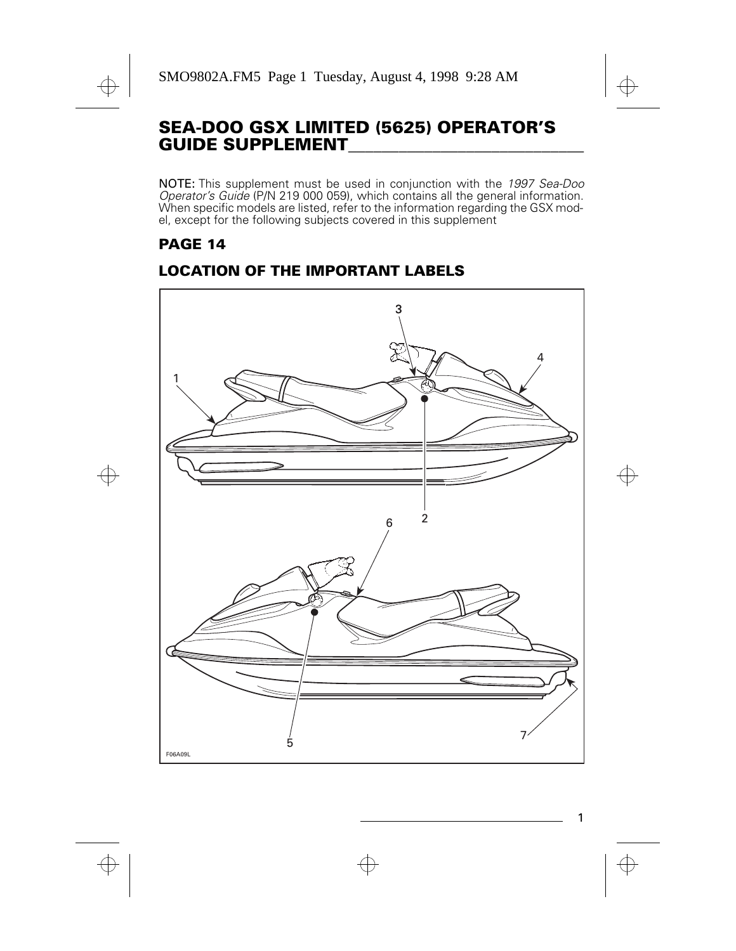### **SEA-DOO GSX LIMITED (5625) OPERATOR'S GUIDE SUPPLEMENT\_\_\_\_\_\_\_\_\_\_\_\_\_\_\_\_\_\_\_\_\_\_\_\_\_\_\_\_**

NOTE: This supplement must be used in conjunction with the 1997 Sea-Doo Operator's Guide (P/N 219 000 059), which contains all the general information. When specific models are listed, refer to the information regarding the GSX model, except for the following subjects covered in this supplement

### **PAGE 14**

### **LOCATION OF THE IMPORTANT LABELS**

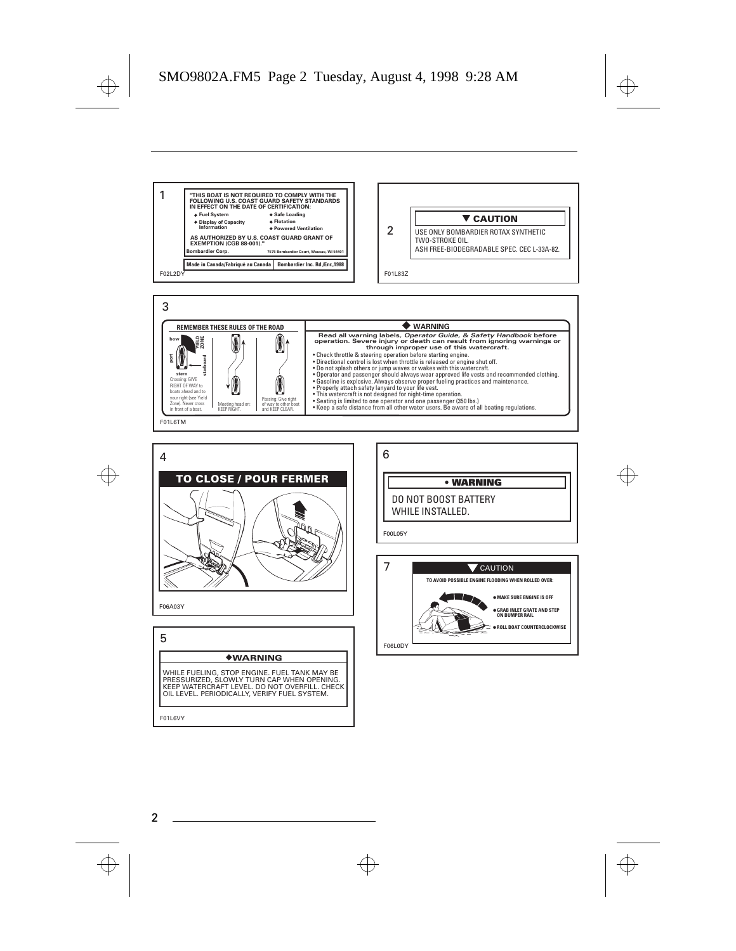





WHILE FUELING, STOP ENGINE. FUEL TANK MAY BE PRESSURIZED, SLOWLY TURN CAP WHEN OPENING. KEEP WATERCRAFT LEVEL. DO NOT OVERFILL. CHECK OIL LEVEL. PERIODICALLY, VERIFY FUEL SYSTEM.

**• WARNING** DO NOT BOOST BATTERY WHILE INSTALLED. F00L05Y 6 7 **TO AVOID POSSIBLE ENGINE FLOODING WHEN ROLLED OVER:** CAUTION

F06L0DY **MAKE SURE ENGINE IS OFF GRAB INLET GRATE AND STEP ON BUMPER RAIL ROLL BOAT COUNTERCLOCKWISE**

F01L6VY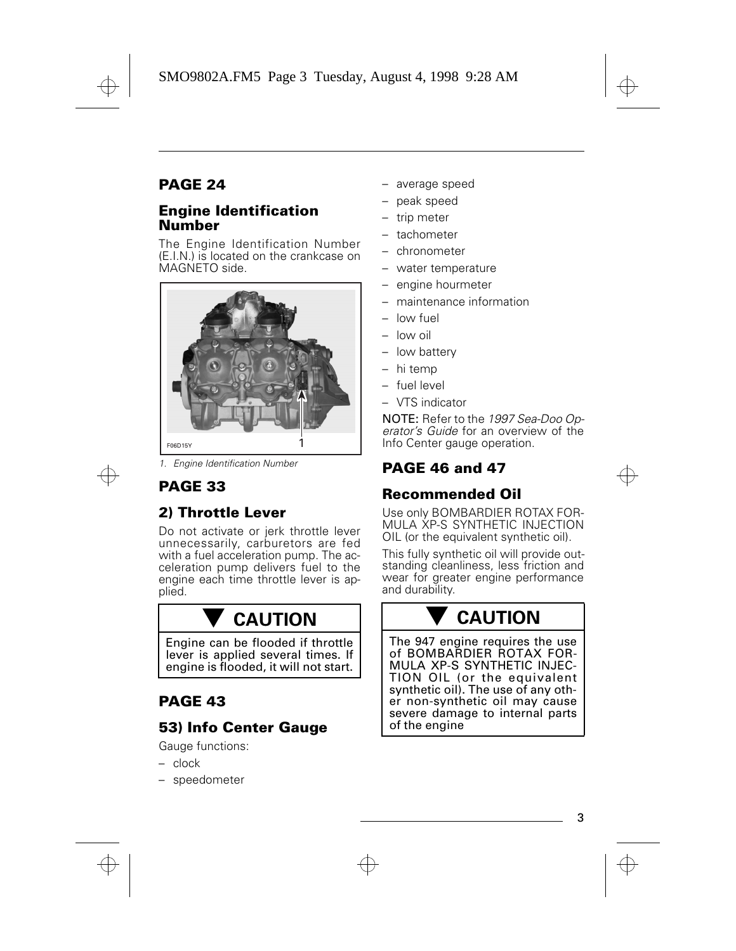### **PAGE 24**

#### **Engine Identification Number**

The Engine Identification Number (E.I.N.) is located on the crankcase on MAGNETO side.



1. Engine Identification Number

### **PAGE 33**

### **2) Throttle Lever**

Do not activate or jerk throttle lever unnecessarily, carburetors are fed with a fuel acceleration pump. The acceleration pump delivers fuel to the engine each time throttle lever is applied.

# - **CAUTION**

Engine can be flooded if throttle lever is applied several times. If engine is flooded, it will not start.

#### **PAGE 43**

#### **53) Info Center Gauge**

Gauge functions:

- clock
- speedometer
- average speed
- peak speed
- trip meter
- tachometer
- chronometer
- water temperature
- engine hourmeter
- maintenance information
- low fuel
- low oil
- low battery
- hi temp
- fuel level
- VTS indicator

NOTE: Refer to the 1997 Sea-Doo Operator's Guide for an overview of the Info Center gauge operation.

#### **PAGE 46 and 47**

#### **Recommended Oil**

Use only BOMBARDIER ROTAX FOR-MULA XP-S SYNTHETIC INJECTION OIL (or the equivalent synthetic oil).

This fully synthetic oil will provide outstanding cleanliness, less friction and wear for greater engine performance and durability.

# - **CAUTION**

The 947 engine requires the use of BOMBARDIER ROTAX FOR-MULA XP-S SYNTHETIC INJEC-TION OIL (or the equivalent synthetic oil). The use of any other non-synthetic oil may cause severe damage to internal parts of the engine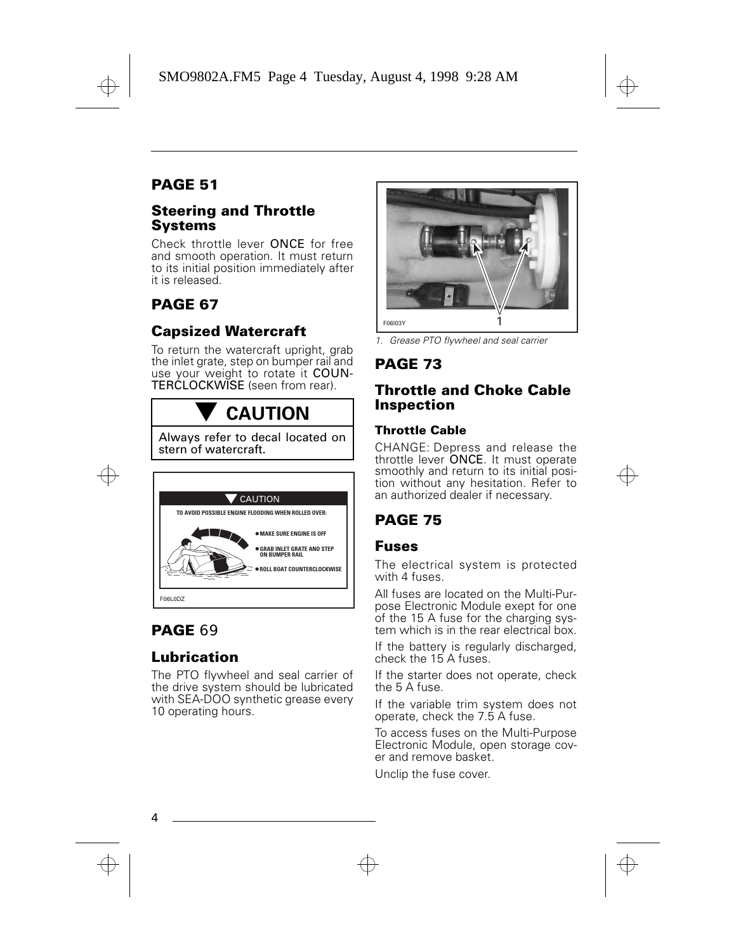#### **PAGE 51**

#### **Steering and Throttle Systems**

Check throttle lever ONCE for free and smooth operation. It must return to its initial position immediately after it is released.

### **PAGE 67**

#### **Capsized Watercraft**

To return the watercraft upright, grab the inlet grate, step on bumper rail and use your weight to rotate it COUN-TERCLOCKWISE (seen from rear).

# - **CAUTION**

Always refer to decal located on stern of watercraft.



#### **PAGE** 69

#### **Lubrication**

The PTO flywheel and seal carrier of the drive system should be lubricated with SEA-DOO synthetic grease every 10 operating hours.



1. Grease PTO flywheel and seal carrier

#### **PAGE 73**

#### **Throttle and Choke Cable Inspection**

#### **Throttle Cable**

CHANGE: Depress and release the throttle lever ONCE. It must operate smoothly and return to its initial position without any hesitation. Refer to an authorized dealer if necessary.

#### **PAGE 75**

#### **Fuses**

The electrical system is protected with 4 fuses

All fuses are located on the Multi-Purpose Electronic Module exept for one of the 15 A fuse for the charging system which is in the rear electrical box.

If the battery is regularly discharged, check the 15 A fuses.

If the starter does not operate, check the 5 A fuse.

If the variable trim system does not operate, check the 7.5 A fuse.

To access fuses on the Multi-Purpose Electronic Module, open storage cover and remove basket.

Unclip the fuse cover.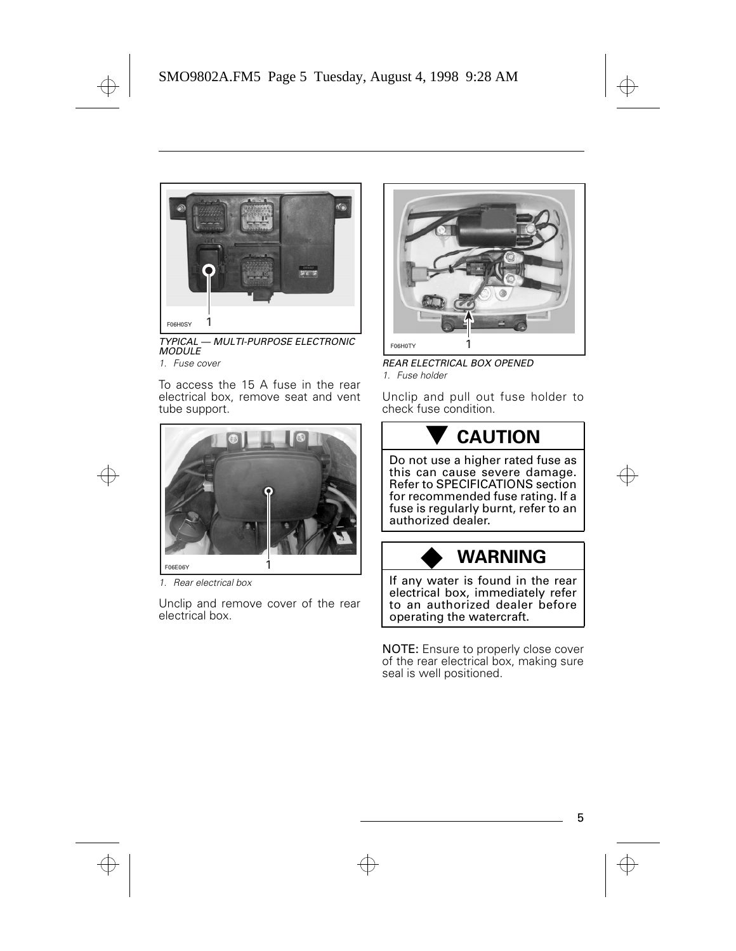

TYPICAL — MULTI-PURPOSE ELECTRONIC **MODULE** 

1. Fuse cover

To access the 15 A fuse in the rear electrical box, remove seat and vent tube support.



1. Rear electrical box

Unclip and remove cover of the rear electrical box.



REAR ELECTRICAL BOX OPENED 1. Fuse holder

Unclip and pull out fuse holder to check fuse condition.

## - **CAUTION**

Do not use a higher rated fuse as this can cause severe damage. Refer to SPECIFICATIONS section for recommended fuse rating. If a fuse is regularly burnt, refer to an authorized dealer.

# ◆ **WARNING**

If any water is found in the rear electrical box, immediately refer to an authorized dealer before operating the watercraft.

NOTE: Ensure to properly close cover of the rear electrical box, making sure seal is well positioned.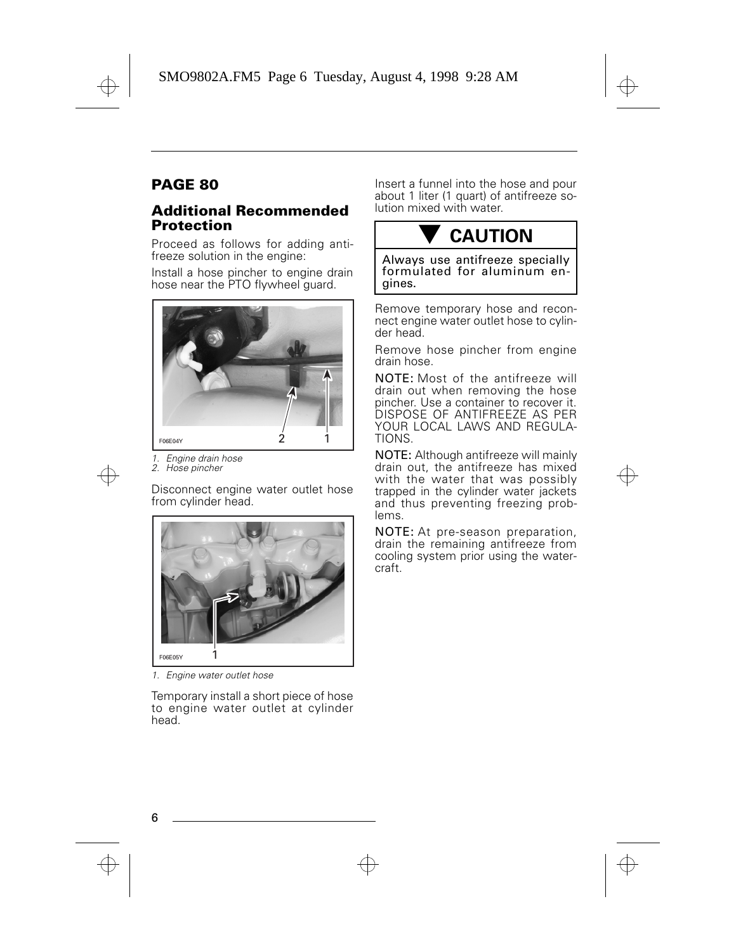#### **PAGE 80**

#### **Additional Recommended Protection**

Proceed as follows for adding antifreeze solution in the engine:

Install a hose pincher to engine drain hose near the PTO flywheel guard.



1. Engine drain hose

2. Hose pincher

Disconnect engine water outlet hose from cylinder head.



1. Engine water outlet hose

Temporary install a short piece of hose to engine water outlet at cylinder head.

Insert a funnel into the hose and pour about 1 liter (1 quart) of antifreeze solution mixed with water.

# - **CAUTION**

Always use antifreeze specially formulated for aluminum engines.

Remove temporary hose and reconnect engine water outlet hose to cylinder head.

Remove hose pincher from engine drain hose.

NOTE: Most of the antifreeze will drain out when removing the hose pincher. Use a container to recover it. DISPOSE OF ANTIFREEZE AS PER YOUR LOCAL LAWS AND REGULA-TIONS.

NOTE: Although antifreeze will mainly drain out, the antifreeze has mixed with the water that was possibly trapped in the cylinder water jackets and thus preventing freezing problems.

NOTE: At pre-season preparation, drain the remaining antifreeze from cooling system prior using the watercraft.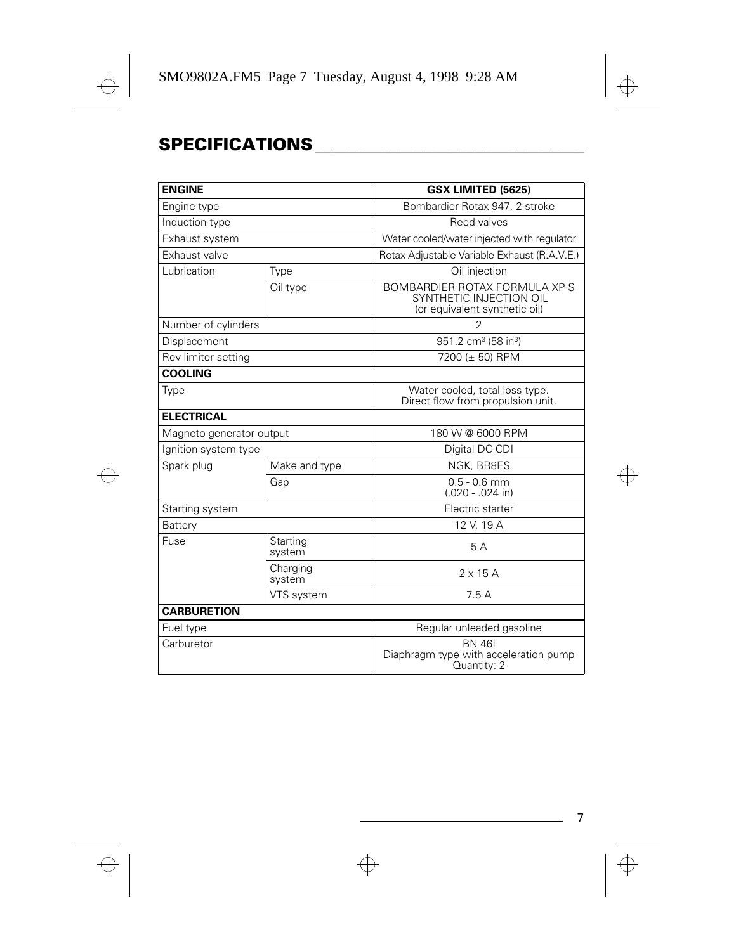### **SPECIFICATIONS\_\_\_\_\_\_\_\_\_\_\_\_\_\_\_\_\_\_\_\_\_\_\_\_\_\_\_\_\_\_\_\_**

| <b>ENGINE</b>            |                    | GSX LIMITED (5625)                                                                        |  |
|--------------------------|--------------------|-------------------------------------------------------------------------------------------|--|
| Engine type              |                    | Bombardier-Rotax 947, 2-stroke                                                            |  |
| Induction type           |                    | Reed valves                                                                               |  |
| Exhaust system           |                    | Water cooled/water injected with regulator                                                |  |
| Exhaust valve            |                    | Rotax Adjustable Variable Exhaust (R.A.V.E.)                                              |  |
| Lubrication              | Type               | Oil injection                                                                             |  |
|                          | Oil type           | BOMBARDIER ROTAX FORMULA XP-S<br>SYNTHETIC INJECTION OIL<br>(or equivalent synthetic oil) |  |
| Number of cylinders      |                    | 2                                                                                         |  |
| Displacement             |                    | 951.2 cm <sup>3</sup> (58 in <sup>3</sup> )                                               |  |
| Rev limiter setting      |                    | 7200 (± 50) RPM                                                                           |  |
| <b>COOLING</b>           |                    |                                                                                           |  |
| Type                     |                    | Water cooled, total loss type.<br>Direct flow from propulsion unit.                       |  |
| <b>ELECTRICAL</b>        |                    |                                                                                           |  |
| Magneto generator output |                    | 180 W @ 6000 RPM                                                                          |  |
| Ignition system type     |                    | Digital DC-CDI                                                                            |  |
| Spark plug               | Make and type      | NGK, BR8ES                                                                                |  |
|                          | Gap                | $0.5 - 0.6$ mm<br>$(.020 - .024$ in)                                                      |  |
| Starting system          |                    | Electric starter                                                                          |  |
| Battery                  |                    | 12 V, 19 A                                                                                |  |
| Fuse                     | Starting<br>system | 5A                                                                                        |  |
|                          | Charging<br>system | $2 \times 15$ A                                                                           |  |
|                          | VTS system         | 7.5A                                                                                      |  |
| <b>CARBURETION</b>       |                    |                                                                                           |  |
| Fuel type                |                    | Regular unleaded gasoline                                                                 |  |
| Carburetor               |                    | <b>BN 461</b><br>Diaphragm type with acceleration pump<br>Quantity: 2                     |  |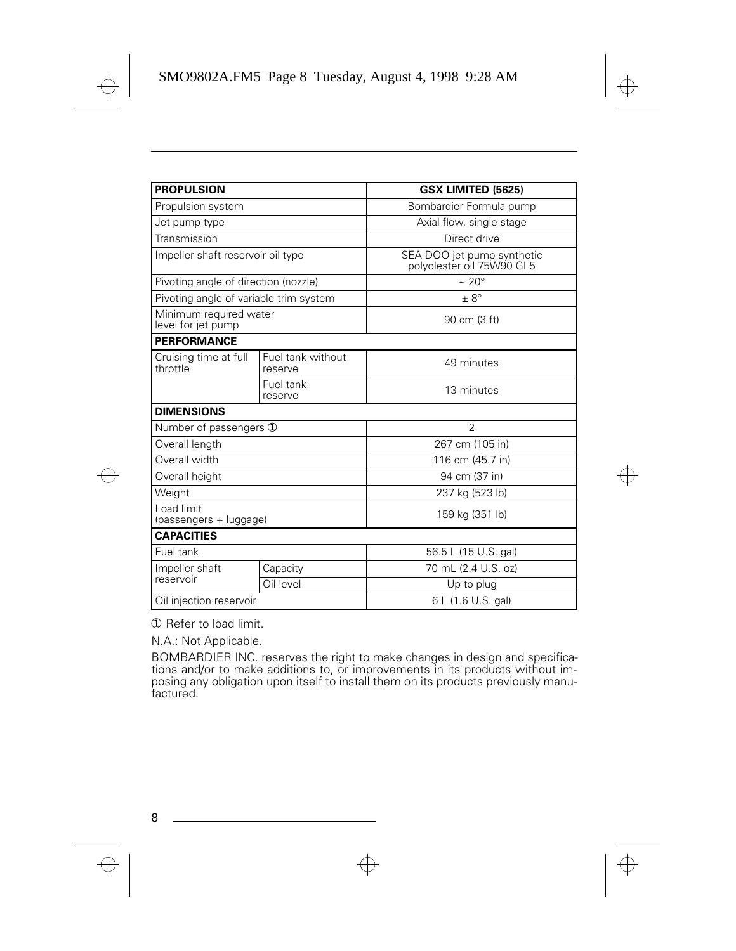| <b>PROPULSION</b>                            |                              | GSX LIMITED (5625)                                      |
|----------------------------------------------|------------------------------|---------------------------------------------------------|
| Propulsion system                            |                              | Bombardier Formula pump                                 |
| Jet pump type                                |                              | Axial flow, single stage                                |
| Transmission                                 |                              | Direct drive                                            |
| Impeller shaft reservoir oil type            |                              | SEA-DOO jet pump synthetic<br>polyolester oil 75W90 GL5 |
| Pivoting angle of direction (nozzle)         |                              | $\sim 20^{\circ}$                                       |
| Pivoting angle of variable trim system       |                              | $\pm 8^{\circ}$                                         |
| Minimum required water<br>level for jet pump |                              | 90 cm (3 ft)                                            |
| <b>PERFORMANCE</b>                           |                              |                                                         |
| Cruising time at full<br>throttle            | Fuel tank without<br>reserve | 49 minutes                                              |
|                                              | Fuel tank<br>reserve         | 13 minutes                                              |
| <b>DIMENSIONS</b>                            |                              |                                                         |
| Number of passengers 1                       |                              | $\mathfrak{D}$                                          |
| Overall length                               |                              | 267 cm (105 in)                                         |
| Overall width                                |                              | 116 cm (45.7 in)                                        |
| Overall height                               |                              | 94 cm (37 in)                                           |
| Weight                                       |                              | 237 kg (523 lb)                                         |
| Load limit<br>(passengers + luggage)         |                              | 159 kg (351 lb)                                         |
| <b>CAPACITIES</b>                            |                              |                                                         |
| Fuel tank                                    |                              | 56.5 L (15 U.S. gal)                                    |
| Impeller shaft<br>reservoir                  | Capacity                     | 70 mL (2.4 U.S. oz)                                     |
|                                              | Oil level                    | Up to plug                                              |
| Oil injection reservoir                      |                              | 6 L (1.6 U.S. gal)                                      |

➀ Refer to load limit.

N.A.: Not Applicable.

BOMBARDIER INC. reserves the right to make changes in design and specifications and/or to make additions to, or improvements in its products without imposing any obligation upon itself to install them on its products previously manufactured.